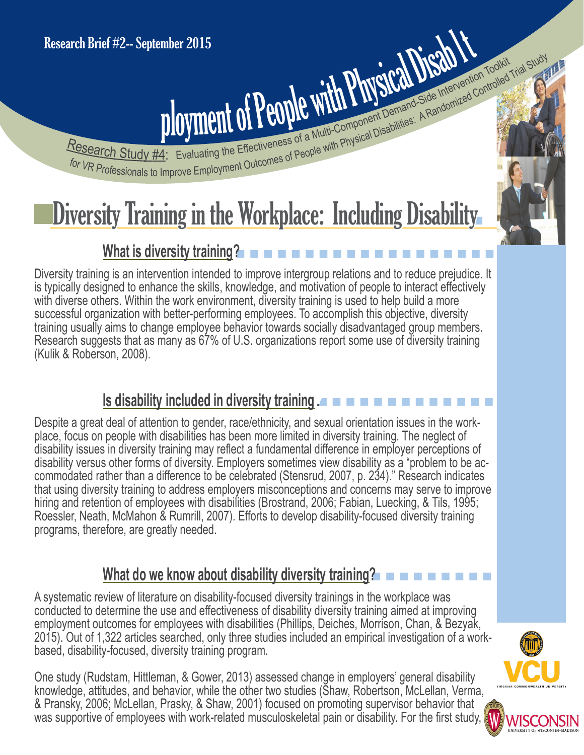# Fesearch Study #4: Evaluating the Effectiveness of People with Physical Disabilities: A Randomized Controlled Trial Study<br>For VR Professionals to Improve Employment Outcomes of People with Physical Disabilities: A Randomiz Research Study #4: Evaluating the Effectiveness of a Multi-Component Demand-Side Intervention Toolidary<br>For VR Professionals to Improve Employment of the Effectiveness of a Multi-Component Demand-Side Intervention Toolidar mber 2015<br>ployment of People with Physical Disabilities: A Randomized C Evaluating the Effectiveness of a Multi-Component Demand-Side Intervention Toolkit

Research Study #4:

## Diversity Training in the Workplace: Including Disability

### **What is diversity training?**

Diversity training is an intervention intended to improve intergroup relations and to reduce prejudice. It is typically designed to enhance the skills, knowledge, and motivation of people to interact effectively with diverse others. Within the work environment, diversity training is used to help build a more successful organization with better-performing employees. To accomplish this objective, diversity training usually aims to change employee behavior towards socially disadvantaged group members. Research suggests that as many as 67% of U.S. organizations report some use of diversity training (Kulik & Roberson, 2008).

#### **Is disability included in diversity training.**

Despite a great deal of attention to gender, race/ethnicity, and sexual orientation issues in the work place, focus on people with disabilities has been more limited in diversity training. The neglect of disability issues in diversity training may reflect a fundamental difference in employer perceptions of disability versus other forms of diversity. Employers sometimes view disability as a "problem to be ac commodated rather than a difference to be celebrated (Stensrud, 2007, p. 234)." Research indicates that using diversity training to address employers misconceptions and concerns may serve to improve hiring and retention of employees with disabilities (Brostrand, 2006; Fabian, Luecking, & Tils, 1995; Roessler, Neath, McMahon & Rumrill, 2007). Efforts to develop disability-focused diversity training programs, therefore, are greatly needed.

#### **What do we know about disability diversity training?**

A systematic review of literature on disability-focused diversity trainings in the workplace was conducted to determine the use and effectiveness of disability diversity training aimed at improving employment outcomes for employees with disabilities (Phillips, Deiches, Morrison, Chan, & Bezyak, 2015). Out of 1,322 articles searched, only three studies included an empirical investigation of a workbased, disability-focused, diversity training program.

One study (Rudstam, Hittleman, & Gower, 2013) assessed change in employers' general disability knowledge, attitudes, and behavior, while the other two studies (Shaw, Robertson, McLellan, Verma, & Pransky, 2006; McLellan, Prasky, & Shaw, 2001) focused on promoting supervisor behavior that was supportive of employees with work-related musculoskeletal pain or disability. For the first study,



 $\mathcal{U}_n$